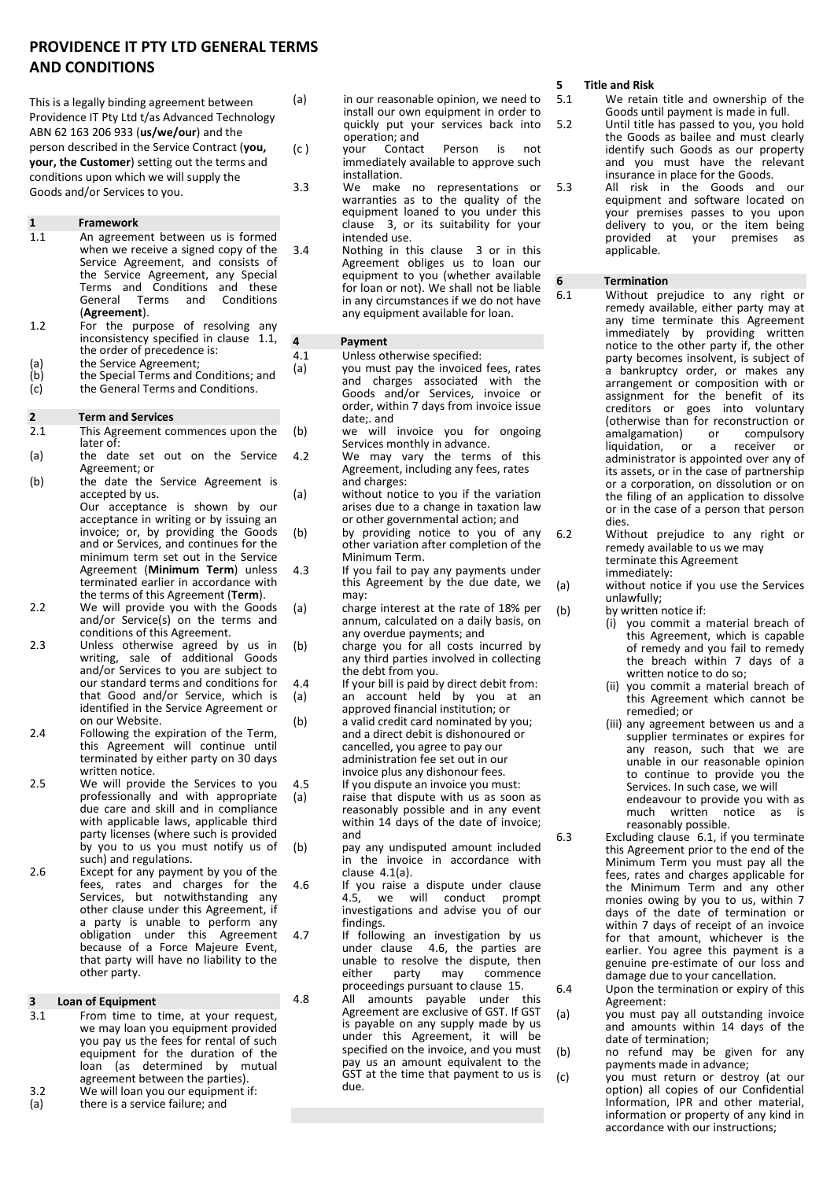### **PROVIDENCE IT PTY LTD GENERAL TERMS AND CONDITIONS**

This is a legally binding agreement between Providence IT Pty Ltd t/as Advanced Technology ABN 62 163 206 933 (**us/we/our**) and the person described in the Service Contract (**you, your, the Customer**) setting out the terms and conditions upon which we will supply the Goods and/or Services to you.

# **1 Framework**

- An agreement between us is formed when we receive a signed copy of the Service Agreement, and consists of the Service Agreement, any Special Terms and Conditions and these<br>General Terms and Conditions **Conditions** (**Agreement**).
- 1.2 For the purpose of resolving any inconsistency specified in clause 1.1, the order of precedence is:
- (a) the Service Agreement;<br>(b) the Special Terms and C
- $\begin{array}{lll} \text{(b)} & \text{the Special Terms and Conditions; and} \\ \text{(c)} & \text{the General Terms and Conditions.} \end{array}$ the General Terms and Conditions.

#### **2 Term and Services**

- 2.1 This Agreement commences upon the later of:
- (a) the date set out on the Service Agreement; or
- (b) the date the Service Agreement is accepted by us. Our acceptance is shown by our acceptance in writing or by issuing an invoice; or, by providing the Goods and or Services, and continues for the minimum term set out in the Service Agreement (**Minimum Term**) unless
- terminated earlier in accordance with the terms of this Agreement (**Term**). 2.2 We will provide you with the Goods and/or Service(s) on the terms and
- conditions of this Agreement. 2.3 Unless otherwise agreed by us in writing, sale of additional Goods and/or Services to you are subject to our standard terms and conditions for that Good and/or Service, which is identified in the Service Agreement or on our Website.
- 2.4 Following the expiration of the Term, this Agreement will continue until terminated by either party on 30 days written notice.
- 2.5 We will provide the Services to you professionally and with appropriate due care and skill and in compliance with applicable laws, applicable third party licenses (where such is provided by you to us you must notify us of such) and regulations.
- 2.6 Except for any payment by you of the fees, rates and charges for the Services, but notwithstanding any other clause under this Agreement, if a party is unable to perform any obligation under this Agreement because of a Force Majeure Event, that party will have no liability to the other party.

#### **3 Loan of Equipment**

3.1 From time to time, at your request, we may loan you equipment provided you pay us the fees for rental of such equipment for the duration of the loan (as determined by mutual agreement between the parties). 3.2 We will loan you our equipment if: (a) there is a service failure; and

- (a) in our reasonable opinion, we need to install our own equipment in order to quickly put your services back into
- operation; and<br>your Contact (c ) your Contact Person is not immediately available to approve such installation.
- 3.3 We make no representations or warranties as to the quality of the equipment loaned to you under this clause 3, or its suitability for your intended use.
- 3.4 Nothing in this clause 3 or in this Agreement obliges us to loan our equipment to you (whether available for loan or not). We shall not be liable in any circumstances if we do not have any equipment available for loan.

### **4 Payment**

- 
- 4.1 Unless otherwise specified:<br>(a) you must pay the invoiced you must pay the invoiced fees, rates and charges associated with the Goods and/or Services, invoice or order, within 7 days from invoice issue date;. and
- (b) we will invoice you for ongoing Services monthly in advance.
- 4.2 We may vary the terms of this Agreement, including any fees, rates and charges:
- (a) without notice to you if the variation arises due to a change in taxation law or other governmental action; and
- (b) by providing notice to you of any other variation after completion of the Minimum Term.
- 4.3 If you fail to pay any payments under this Agreement by the due date, we may:
- (a) charge interest at the rate of 18% per annum, calculated on a daily basis, on any overdue payments; and
- (b) charge you for all costs incurred by any third parties involved in collecting the debt from you.
- 4.4 If your bill is paid by direct debit from: (a) an account held by you at an approved financial institution; or
- (b) a valid credit card nominated by you; and a direct debit is dishonoured or cancelled, you agree to pay our administration fee set out in our invoice plus any dishonour fees. 4.5 If you dispute an invoice you must:
- (a) raise that dispute with us as soon as reasonably possible and in any event within 14 days of the date of invoice; and
- (b) pay any undisputed amount included in the invoice in accordance with clause 4.1(a).
- 4.6 If you raise a dispute under clause<br>4.5, we will conduct prompt will conduct prompt investigations and advise you of our findings.
- 4.7 If following an investigation by us under clause  $4.6$ , the parties are unable to resolve the dispute, then<br>either party may commence commence proceedings pursuant to clause 15.
- 4.8 All amounts payable under this Agreement are exclusive of GST. If GST is payable on any supply made by us under this Agreement, it will be specified on the invoice, and you must pay us an amount equivalent to the GST at the time that payment to us is due.

## **5 Title and Risk**

- We retain title and ownership of the Goods until payment is made in full.
- 5.2 Until title has passed to you, you hold the Goods as bailee and must clearly identify such Goods as our property and you must have the relevant insurance in place for the Goods.
- 5.3 All risk in the Goods and our equipment and software located on your premises passes to you upon delivery to you, or the item being provided at your premises as applicable.

# **6 Termination**<br>**6.1 Without** pre

- Without prejudice to any right or remedy available, either party may at any time terminate this Agreement immediately by providing written notice to the other party if, the other party becomes insolvent, is subject of a bankruptcy order, or makes any arrangement or composition with or assignment for the benefit of its creditors or goes into voluntary (otherwise than for reconstruction or<br>amalgamation) or compulsory amalgamation) or compulsory<br>liquidation, or a receiver or liquidation, or a receiver or administrator is appointed over any of its assets, or in the case of partnership or a corporation, on dissolution or on the filing of an application to dissolve or in the case of a person that person dies.
- 6.2 Without prejudice to any right or remedy available to us we may terminate this Agreement immediately:
- (a) without notice if you use the Services unlawfully;
- (b) by written notice if:
	- (i) you commit a material breach of this Agreement, which is capable of remedy and you fail to remedy the breach within 7 days of a written notice to do so;
	- (ii) you commit a material breach of this Agreement which cannot be remedied; or
	- (iii) any agreement between us and a supplier terminates or expires for any reason, such that we are unable in our reasonable opinion to continue to provide you the Services. In such case, we will endeavour to provide you with as<br>much written notice as is written notice as is reasonably possible.
- 6.3 Excluding clause 6.1, if you terminate this Agreement prior to the end of the Minimum Term you must pay all the fees, rates and charges applicable for the Minimum Term and any other monies owing by you to us, within 7 days of the date of termination or within 7 days of receipt of an invoice for that amount, whichever is the earlier. You agree this payment is a genuine pre-estimate of our loss and damage due to your cancellation.
- 6.4 Upon the termination or expiry of this Agreement:
- (a) you must pay all outstanding invoice and amounts within 14 days of the date of termination;
- (b) no refund may be given for any payments made in advance;
- (c) you must return or destroy (at our option) all copies of our Confidential Information, IPR and other material, information or property of any kind in accordance with our instructions;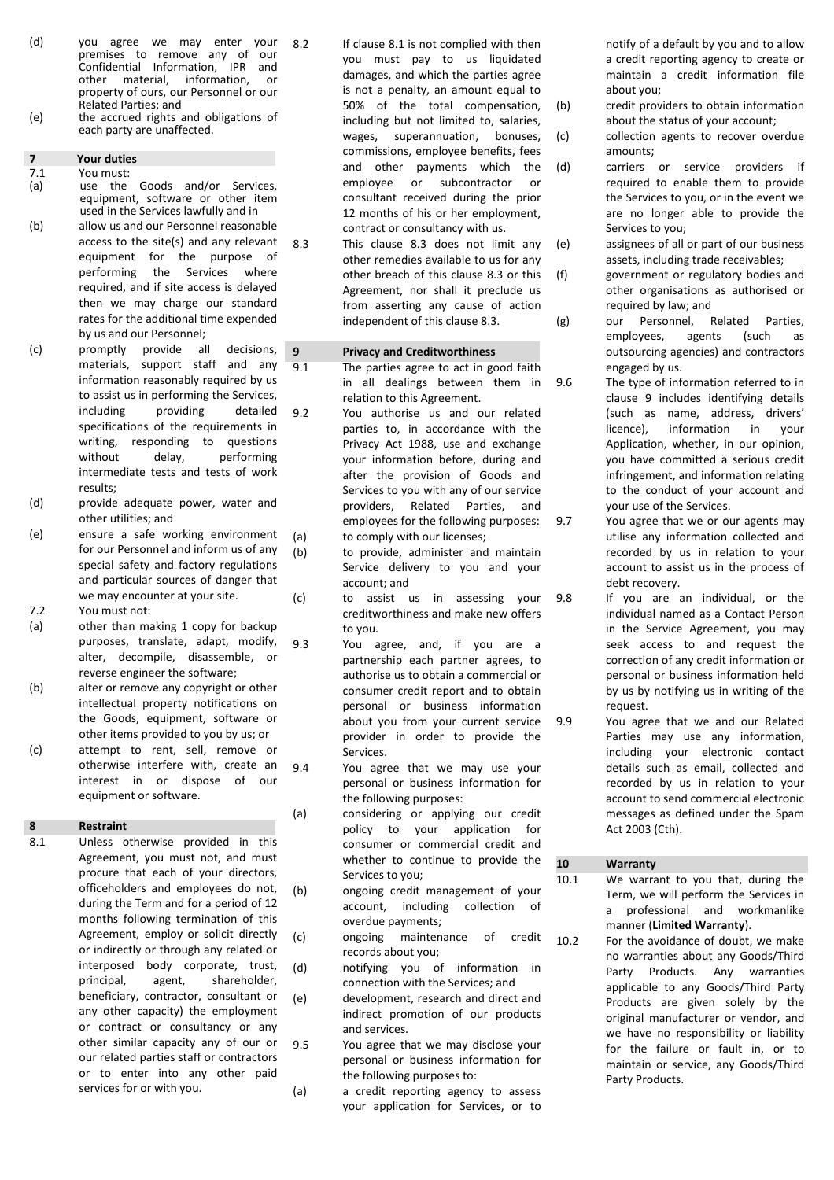- (d) you agree we may enter your premises to remove any of Confidential Information, IPR and<br>other material, information, or information, property of ours, our Personnel or our Related Parties; and
- (e) the accrued rights and obligations of each party are unaffected.

## **7 Your duties**

- You must:
- (a) use the Goods and/or Services, equipment, software or other item used in the Services lawfully and in
- (b) allow us and our Personnel reasonable access to the site(s) and any relevant equipment for the purpose of performing the Services where required, and if site access is delayed then we may charge our standard rates for the additional time expended by us and our Personnel;
- (c) promptly provide all decisions, materials, support staff and any information reasonably required by us to assist us in performing the Services, including providing detailed specifications of the requirements in writing, responding to questions without delay, performing intermediate tests and tests of work results;
- (d) provide adequate power, water and other utilities; and
- (e) ensure a safe working environment for our Personnel and inform us of any special safety and factory regulations and particular sources of danger that we may encounter at your site. 7.2 You must not:
- 
- (a) other than making 1 copy for backup purposes, translate, adapt, modify, alter, decompile, disassemble, or reverse engineer the software;
- (b) alter or remove any copyright or other intellectual property notifications on the Goods, equipment, software or other items provided to you by us; or
- (c) attempt to rent, sell, remove or otherwise interfere with, create an interest in or dispose of our equipment or software.

#### **8 Restraint**

8.1 Unless otherwise provided in this Agreement, you must not, and must procure that each of your directors, officeholders and employees do not, during the Term and for a period of 12 months following termination of this Agreement, employ or solicit directly or indirectly or through any related or interposed body corporate, trust, principal, agent, shareholder, beneficiary, contractor, consultant or any other capacity) the employment or contract or consultancy or any other similar capacity any of our or our related parties staff or contractors or to enter into any other paid services for or with you.

- 8.2 If clause 8.1 is not complied with then you must pay to us liquidated damages, and which the parties agree is not a penalty, an amount equal to 50% of the total compensation, including but not limited to, salaries, wages, superannuation, bonuses, commissions, employee benefits, fees and other payments which the employee or subcontractor or consultant received during the prior 12 months of his or her employment, contract or consultancy with us.
- 8.3 This clause 8.3 does not limit any other remedies available to us for any other breach of this clause 8.3 or this Agreement, nor shall it preclude us from asserting any cause of action independent of this clause 8.3.

## **9 Privacy and Creditworthiness**<br>**9.1** The parties agree to act in go

- The parties agree to act in good faith in all dealings between them in relation to this Agreement.
- 9.2 You authorise us and our related parties to, in accordance with the Privacy Act 1988, use and exchange your information before, during and after the provision of Goods and Services to you with any of our service providers, Related Parties, and employees for the following purposes: (a) to comply with our licenses;
- (b) to provide, administer and maintain Service delivery to you and your account; and
- (c) to assist us in assessing your creditworthiness and make new offers to you.
- 9.3 You agree, and, if you are a partnership each partner agrees, to authorise us to obtain a commercial or consumer credit report and to obtain personal or business information about you from your current service provider in order to provide the Services.
- 9.4 You agree that we may use your personal or business information for the following purposes:
- (a) considering or applying our credit policy to your application for consumer or commercial credit and whether to continue to provide the Services to you;
- (b) ongoing credit management of your account, including collection of overdue payments;
- (c) ongoing maintenance of credit records about you;
- (d) notifying you of information in connection with the Services; and
- (e) development, research and direct and indirect promotion of our products and services.
- 9.5 You agree that we may disclose your personal or business information for the following purposes to:
- (a) a credit reporting agency to assess your application for Services, or to

notify of a default by you and to allow a credit reporting agency to create or maintain a credit information file about you;

- (b) credit providers to obtain information about the status of your account;
- (c) collection agents to recover overdue amounts;
- (d) carriers or service providers if required to enable them to provide the Services to you, or in the event we are no longer able to provide the Services to you;
- (e) assignees of all or part of our business assets, including trade receivables;
- (f) government or regulatory bodies and other organisations as authorised or required by law; and
- (g) our Personnel, Related Parties, employees, agents (such as outsourcing agencies) and contractors engaged by us.
- 9.6 The type of information referred to in clause 9 includes identifying details (such as name, address, drivers' licence), information in your Application, whether, in our opinion, you have committed a serious credit infringement, and information relating to the conduct of your account and your use of the Services.
- 9.7 You agree that we or our agents may utilise any information collected and recorded by us in relation to your account to assist us in the process of debt recovery.
- 9.8 If you are an individual, or the individual named as a Contact Person in the Service Agreement, you may seek access to and request the correction of any credit information or personal or business information held by us by notifying us in writing of the request.
- 9.9 You agree that we and our Related Parties may use any information, including your electronic contact details such as email, collected and recorded by us in relation to your account to send commercial electronic messages as defined under the Spam Act 2003 (Cth).

#### **10 Warranty**

- 10.1 We warrant to you that, during the Term, we will perform the Services in a professional and workmanlike manner (**Limited Warranty**).
- 10.2 For the avoidance of doubt, we make no warranties about any Goods/Third Party Products. Any warranties applicable to any Goods/Third Party Products are given solely by the original manufacturer or vendor, and we have no responsibility or liability for the failure or fault in, or to maintain or service, any Goods/Third Party Products.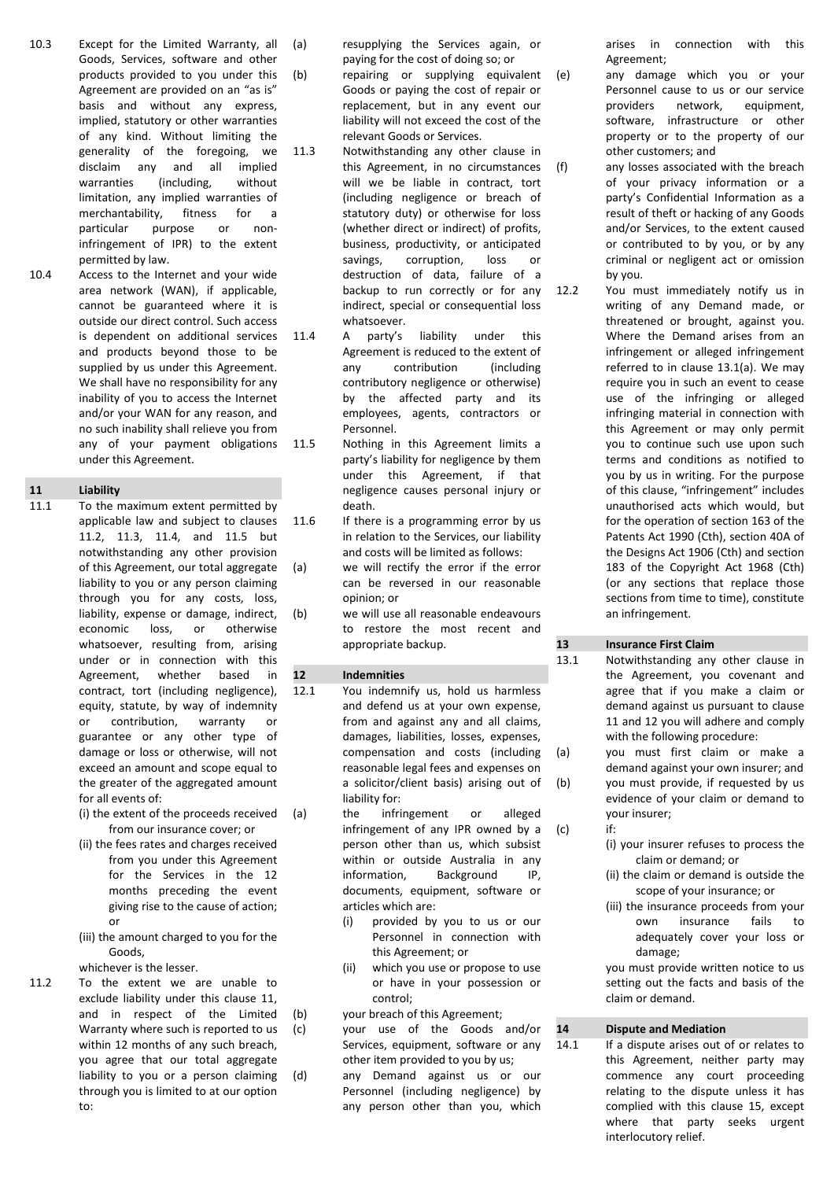- 10.3 Except for the Limited Warranty, all Goods, Services, software and other products provided to you under this Agreement are provided on an "as is" basis and without any express, implied, statutory or other warranties of any kind. Without limiting the generality of the foregoing, we disclaim any and all implied<br>warranties (including, without (including, without limitation, any implied warranties of merchantability, fitness for a particular purpose or noninfringement of IPR) to the extent permitted by law.
- 10.4 Access to the Internet and your wide area network (WAN), if applicable, cannot be guaranteed where it is outside our direct control. Such access is dependent on additional services and products beyond those to be supplied by us under this Agreement. We shall have no responsibility for any inability of you to access the Internet and/or your WAN for any reason, and no such inability shall relieve you from any of your payment obligations under this Agreement.

# **11 Liability**<br>**11.1** To the n

- To the maximum extent permitted by applicable law and subject to clauses 11.2, 11.3, 11.4, and 11.5 but notwithstanding any other provision of this Agreement, our total aggregate liability to you or any person claiming through you for any costs, loss, liability, expense or damage, indirect, economic loss, or otherwise whatsoever, resulting from, arising under or in connection with this Agreement, whether based in contract, tort (including negligence), equity, statute, by way of indemnity or contribution, warranty or guarantee or any other type of damage or loss or otherwise, will not exceed an amount and scope equal to the greater of the aggregated amount for all events of:
	- (i) the extent of the proceeds received from our insurance cover; or
	- (ii) the fees rates and charges received from you under this Agreement for the Services in the 12 months preceding the event giving rise to the cause of action; or
	- (iii) the amount charged to you for the Goods,

whichever is the lesser.

11.2 To the extent we are unable to exclude liability under this clause 11, and in respect of the Limited Warranty where such is reported to us within 12 months of any such breach, you agree that our total aggregate liability to you or a person claiming through you is limited to at our option to:

(a) resupplying the Services again, or paying for the cost of doing so; or

- (b) repairing or supplying equivalent Goods or paying the cost of repair or replacement, but in any event our liability will not exceed the cost of the relevant Goods or Services.
- 11.3 Notwithstanding any other clause in this Agreement, in no circumstances will we be liable in contract, tort (including negligence or breach of statutory duty) or otherwise for loss (whether direct or indirect) of profits, business, productivity, or anticipated savings, corruption, loss or destruction of data, failure of a backup to run correctly or for any indirect, special or consequential loss whatsoever.
- 11.4 A party's liability under this Agreement is reduced to the extent of any contribution (including contributory negligence or otherwise) by the affected party and its employees, agents, contractors or Personnel.
- 11.5 Nothing in this Agreement limits a party's liability for negligence by them under this Agreement, if that negligence causes personal injury or death.
- 11.6 If there is a programming error by us in relation to the Services, our liability and costs will be limited as follows:
- (a) we will rectify the error if the error can be reversed in our reasonable opinion; or
- (b) we will use all reasonable endeavours to restore the most recent and appropriate backup.

#### **12 Indemnities**

- 12.1 You indemnify us, hold us harmless and defend us at your own expense, from and against any and all claims, damages, liabilities, losses, expenses, compensation and costs (including reasonable legal fees and expenses on a solicitor/client basis) arising out of liability for:
- (a) the infringement or alleged infringement of any IPR owned by a person other than us, which subsist within or outside Australia in any information, Background IP, documents, equipment, software or articles which are:
	- (i) provided by you to us or our Personnel in connection with this Agreement; or
	- (ii) which you use or propose to use or have in your possession or control;
- (b) your breach of this Agreement;
- (c) your use of the Goods and/or Services, equipment, software or any other item provided to you by us;
- (d) any Demand against us or our Personnel (including negligence) by any person other than you, which

arises in connection with this Agreement;

- (e) any damage which you or your Personnel cause to us or our service providers network, equipment, software, infrastructure or other property or to the property of our other customers; and
- (f) any losses associated with the breach of your privacy information or a party's Confidential Information as a result of theft or hacking of any Goods and/or Services, to the extent caused or contributed to by you, or by any criminal or negligent act or omission by you.
- 12.2 You must immediately notify us in writing of any Demand made, or threatened or brought, against you. Where the Demand arises from an infringement or alleged infringement referred to in clause 13.1(a). We may require you in such an event to cease use of the infringing or alleged infringing material in connection with this Agreement or may only permit you to continue such use upon such terms and conditions as notified to you by us in writing. For the purpose of this clause, "infringement" includes unauthorised acts which would, but for the operation of section 163 of the Patents Act 1990 (Cth), section 40A of the Designs Act 1906 (Cth) and section 183 of the Copyright Act 1968 (Cth) (or any sections that replace those sections from time to time), constitute an infringement.

#### **13 Insurance First Claim**

- 13.1 Notwithstanding any other clause in the Agreement, you covenant and agree that if you make a claim or demand against us pursuant to clause 11 and 12 you will adhere and comply with the following procedure:
- (a) you must first claim or make a demand against your own insurer; and (b) you must provide, if requested by us evidence of your claim or demand to your insurer;
- (c) if:
	- (i) your insurer refuses to process the claim or demand; or
	- (ii) the claim or demand is outside the scope of your insurance; or
	- (iii) the insurance proceeds from your own insurance fails to adequately cover your loss or damage;

you must provide written notice to us setting out the facts and basis of the claim or demand.

#### **14 Dispute and Mediation**

14.1 If a dispute arises out of or relates to this Agreement, neither party may commence any court proceeding relating to the dispute unless it has complied with this clause 15, except where that party seeks urgent interlocutory relief.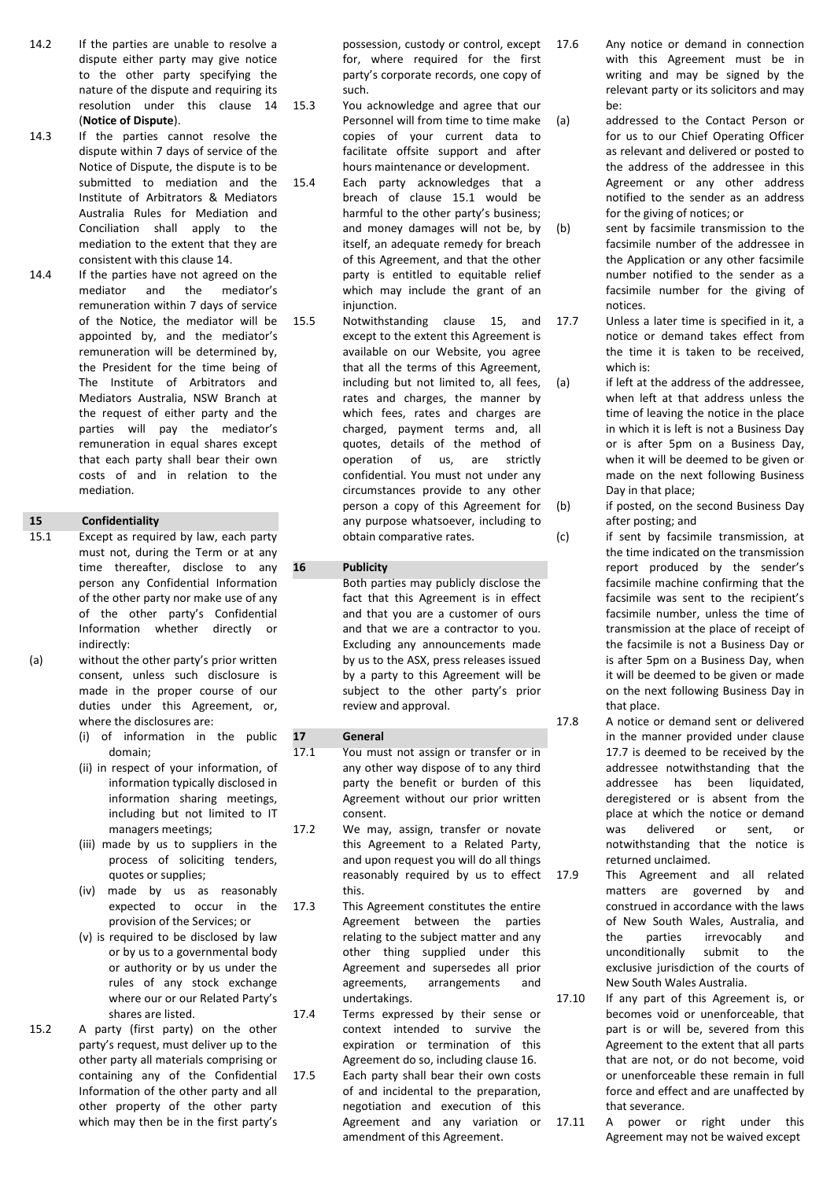- 14.2 If the parties are unable to resolve a dispute either party may give notice to the other party specifying the nature of the dispute and requiring its resolution under this clause 14 (**Notice of Dispute**).
- 14.3 If the parties cannot resolve the dispute within 7 days of service of the Notice of Dispute, the dispute is to be submitted to mediation and the Institute of Arbitrators & Mediators Australia Rules for Mediation and Conciliation shall apply to the mediation to the extent that they are consistent with this clause 14.
- 14.4 If the parties have not agreed on the mediator and the mediator's remuneration within 7 days of service of the Notice, the mediator will be appointed by, and the mediator's remuneration will be determined by, the President for the time being of The Institute of Arbitrators and Mediators Australia, NSW Branch at the request of either party and the parties will pay the mediator's remuneration in equal shares except that each party shall bear their own costs of and in relation to the mediation.

#### **15 Confidentiality**

- 15.1 Except as required by law, each party must not, during the Term or at any time thereafter, disclose to any person any Confidential Information of the other party nor make use of any of the other party's Confidential Information whether directly or indirectly:
- (a) without the other party's prior written consent, unless such disclosure is made in the proper course of our duties under this Agreement, or, where the disclosures are:
	- (i) of information in the public domain;
	- (ii) in respect of your information, of information typically disclosed in information sharing meetings, including but not limited to IT managers meetings;
	- (iii) made by us to suppliers in the process of soliciting tenders, quotes or supplies;
	- (iv) made by us as reasonably expected to occur in the provision of the Services; or
	- (v) is required to be disclosed by law or by us to a governmental body or authority or by us under the rules of any stock exchange where our or our Related Party's shares are listed.
- 15.2 A party (first party) on the other party's request, must deliver up to the other party all materials comprising or containing any of the Confidential Information of the other party and all other property of the other party which may then be in the first party's

possession, custody or control, except for, where required for the first party's corporate records, one copy of such.

- 15.3 You acknowledge and agree that our Personnel will from time to time make copies of your current data to facilitate offsite support and after hours maintenance or development.
- 15.4 Each party acknowledges that a breach of clause 15.1 would be harmful to the other party's business; and money damages will not be, by itself, an adequate remedy for breach of this Agreement, and that the other party is entitled to equitable relief which may include the grant of an injunction.
- 15.5 Notwithstanding clause 15, and except to the extent this Agreement is available on our Website, you agree that all the terms of this Agreement, including but not limited to, all fees, rates and charges, the manner by which fees, rates and charges are charged, payment terms and, all quotes, details of the method of operation of us, are strictly confidential. You must not under any circumstances provide to any other person a copy of this Agreement for any purpose whatsoever, including to obtain comparative rates.

#### **16 Publicity**

Both parties may publicly disclose the fact that this Agreement is in effect and that you are a customer of ours and that we are a contractor to you. Excluding any announcements made by us to the ASX, press releases issued by a party to this Agreement will be subject to the other party's prior review and approval.

#### **17 General**

- 17.1 You must not assign or transfer or in any other way dispose of to any third party the benefit or burden of this Agreement without our prior written consent.
- 17.2 We may, assign, transfer or novate this Agreement to a Related Party, and upon request you will do all things reasonably required by us to effect this.
- 17.3 This Agreement constitutes the entire Agreement between the parties relating to the subject matter and any other thing supplied under this Agreement and supersedes all prior agreements, arrangements and undertakings.

17.4 Terms expressed by their sense or context intended to survive the expiration or termination of this Agreement do so, including clause 16.

17.5 Each party shall bear their own costs of and incidental to the preparation, negotiation and execution of this Agreement and any variation or amendment of this Agreement.

- 17.6 Any notice or demand in connection with this Agreement must be in writing and may be signed by the relevant party or its solicitors and may be:
- (a) addressed to the Contact Person or for us to our Chief Operating Officer as relevant and delivered or posted to the address of the addressee in this Agreement or any other address notified to the sender as an address for the giving of notices; or
- (b) sent by facsimile transmission to the facsimile number of the addressee in the Application or any other facsimile number notified to the sender as a facsimile number for the giving of notices.

17.7 Unless a later time is specified in it, a notice or demand takes effect from the time it is taken to be received, which is:

(a) if left at the address of the addressee. when left at that address unless the time of leaving the notice in the place in which it is left is not a Business Day or is after 5pm on a Business Day, when it will be deemed to be given or made on the next following Business Day in that place;

(b) if posted, on the second Business Day after posting; and

- (c) if sent by facsimile transmission, at the time indicated on the transmission report produced by the sender's facsimile machine confirming that the facsimile was sent to the recipient's facsimile number, unless the time of transmission at the place of receipt of the facsimile is not a Business Day or is after 5pm on a Business Day, when it will be deemed to be given or made on the next following Business Day in that place.
- 17.8 A notice or demand sent or delivered in the manner provided under clause 17.7 is deemed to be received by the addressee notwithstanding that the addressee has been liquidated, deregistered or is absent from the place at which the notice or demand was delivered or sent, or notwithstanding that the notice is returned unclaimed.

17.9 This Agreement and all related matters are governed by and construed in accordance with the laws of New South Wales, Australia, and the parties irrevocably and unconditionally submit to the exclusive jurisdiction of the courts of New South Wales Australia.

- 17.10 If any part of this Agreement is, or becomes void or unenforceable, that part is or will be, severed from this Agreement to the extent that all parts that are not, or do not become, void or unenforceable these remain in full force and effect and are unaffected by that severance.
- 17.11 A power or right under this Agreement may not be waived except